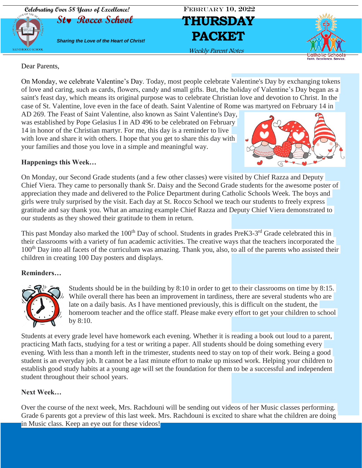

Dear Parents,

On Monday, we celebrate Valentine's Day. Today, most people celebrate Valentine's Day by exchanging tokens of love and caring, such as cards, flowers, candy and small gifts. But, the holiday of Valentine's Day began as a saint's feast day, which means its original purpose was to celebrate Christian love and devotion to Christ. In the case of St. Valentine, love even in the face of death. Saint Valentine of Rome was martyred on February 14 in

AD 269. The Feast of Saint Valentine, also known as Saint Valentine's Day, was established by Pope Gelasius I in AD 496 to be celebrated on February 14 in honor of the Christian martyr. For me, this day is a reminder to live with love and share it with others. I hope that you get to share this day with your families and those you love in a simple and meaningful way.



### **Happenings this Week…**

On Monday, our Second Grade students (and a few other classes) were visited by Chief Razza and Deputy Chief Viera. They came to personally thank Sr. Daisy and the Second Grade students for the awesome poster of appreciation they made and delivered to the Police Department during Catholic Schools Week. The boys and girls were truly surprised by the visit. Each day at St. Rocco School we teach our students to freely express gratitude and say thank you. What an amazing example Chief Razza and Deputy Chief Viera demonstrated to our students as they showed their gratitude to them in return.

This past Monday also marked the 100<sup>th</sup> Day of school. Students in grades PreK3-3<sup>rd</sup> Grade celebrated this in their classrooms with a variety of fun academic activities. The creative ways that the teachers incorporated the 100<sup>th</sup> Day into all facets of the curriculum was amazing. Thank you, also, to all of the parents who assisted their children in creating 100 Day posters and displays.

#### **Reminders…**



Students should be in the building by 8:10 in order to get to their classrooms on time by 8:15. While overall there has been an improvement in tardiness, there are several students who are late on a daily basis. As I have mentioned previously, this is difficult on the student, the homeroom teacher and the office staff. Please make every effort to get your children to school by 8:10.

Students at every grade level have homework each evening. Whether it is reading a book out loud to a parent, practicing Math facts, studying for a test or writing a paper. All students should be doing something every evening. With less than a month left in the trimester, students need to stay on top of their work. Being a good student is an everyday job. It cannot be a last minute effort to make up missed work. Helping your children to establish good study habits at a young age will set the foundation for them to be a successful and independent student throughout their school years.

#### **Next Week…**

Over the course of the next week, Mrs. Rachdouni will be sending out videos of her Music classes performing. Grade 6 parents got a preview of this last week. Mrs. Rachdouni is excited to share what the children are doing in Music class. Keep an eye out for these videos!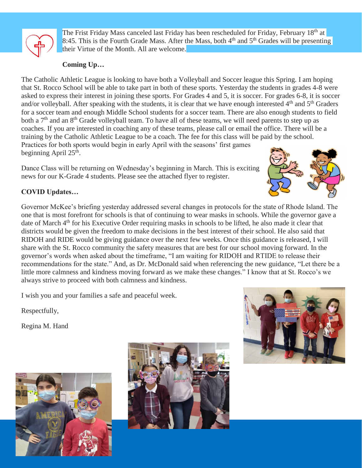

The Frist Friday Mass canceled last Friday has been rescheduled for Friday, February 18<sup>th</sup> at 8:45. This is the Fourth Grade Mass. After the Mass, both  $4<sup>th</sup>$  and  $5<sup>th</sup>$  Grades will be presenting their Virtue of the Month. All are welcome.

## **Coming Up…**

The Catholic Athletic League is looking to have both a Volleyball and Soccer league this Spring. I am hoping that St. Rocco School will be able to take part in both of these sports. Yesterday the students in grades 4-8 were asked to express their interest in joining these sports. For Grades 4 and 5, it is soccer. For grades 6-8, it is soccer and/or volleyball. After speaking with the students, it is clear that we have enough interested  $4<sup>th</sup>$  and  $5<sup>th</sup>$  Graders for a soccer team and enough Middle School students for a soccer team. There are also enough students to field both a  $7<sup>th</sup>$  and an  $8<sup>th</sup>$  Grade volleyball team. To have all of these teams, we will need parents to step up as coaches. If you are interested in coaching any of these teams, please call or email the office. There will be a training by the Catholic Athletic League to be a coach. The fee for this class will be paid by the school. Practices for both sports would begin in early April with the seasons' first games beginning April 25<sup>th</sup>.

Dance Class will be returning on Wednesday's beginning in March. This is exciting news for our K-Grade 4 students. Please see the attached flyer to register.



## **COVID Updates…**

Governor McKee's briefing yesterday addressed several changes in protocols for the state of Rhode Island. The one that is most forefront for schools is that of continuing to wear masks in schools. While the governor gave a date of March 4th for his Executive Order requiring masks in schools to be lifted, he also made it clear that districts would be given the freedom to make decisions in the best interest of their school. He also said that RIDOH and RIDE would be giving guidance over the next few weeks. Once this guidance is released, I will share with the St. Rocco community the safety measures that are best for our school moving forward. In the governor's words when asked about the timeframe, "I am waiting for RIDOH and RTIDE to release their recommendations for the state." And, as Dr. McDonald said when referencing the new guidance, "Let there be a little more calmness and kindness moving forward as we make these changes." I know that at St. Rocco's we always strive to proceed with both calmness and kindness.

I wish you and your families a safe and peaceful week.

Respectfully,

Regina M. Hand





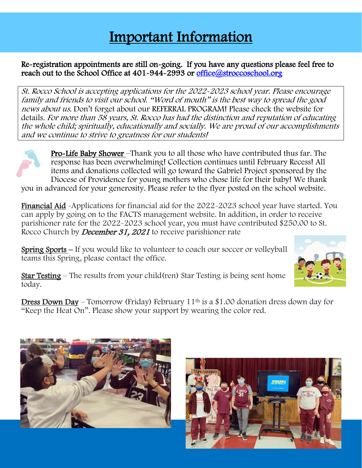# Important Information

### I Re-registration appointments are still on-going. If you have any questions please feel free to reach out to the School Office at 401-944-2993 or office@stroccoschool.org

St. Rocco School is accepting applications for the 2022-2023 school year. Please encourage family and friends to visit our school. "Word of mouth" is the best way to spread the good news about us. Don't forget about our REFERRAL PROGRAM! Please check the website for details. For more than 58 years, St. Rocco has had the distinction and reputation of educating the whole child; spiritually, educationally and socially. We are proud of our accomplishments and we continue to strive to greatness for our students!



ı

Pro-Life Baby Shower –Thank you to all those who have contributed thus far. The response has been overwhelming! Collection continues until February Recess! All items and donations collected will go toward the Gabriel Project sponsored by the Diocese of Providence for young mothers who chose life for their baby! We thank you in advanced for your generosity. Please refer to the flyer posted on the school website.

Financial Aid -Applications for financial aid for the 2022-2023 school year have started. You can apply by going on to the FACTS management website. In addition, in order to receive parishioner rate for the 2022-2023 school year, you must have contributed \$250.00 to St. Rocco Church by *December 31, 2021* to receive parishioner rate

Spring Sports – If you would like to volunteer to coach our soccer or volleyball teams this Spring, please contact the office.



Star Testing – The results from your child(ren) Star Testing is being sent home today.

Dress Down Day – Tomorrow (Friday) February 11<sup>th</sup> is a \$1.00 donation dress down day for "Keep the Heat On". Please show your support by wearing the color red.



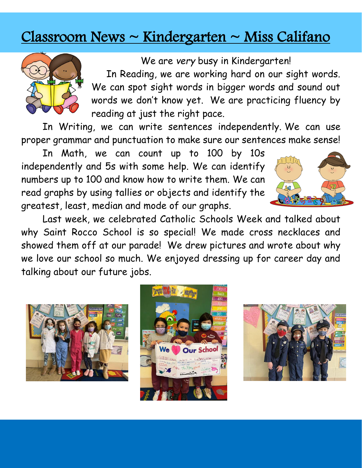# Classroom News ~ Kindergarten ~ Miss Califano



We are *very* busy in Kindergarten! In Reading, we are working hard on our sight words. We can spot sight words in bigger words and sound out words we don't know yet. We are practicing fluency by reading at just the right pace.

In Writing, we can write sentences independently. We can use proper grammar and punctuation to make sure our sentences make sense!

In Math, we can count up to 100 by 10s independently and 5s with some help. We can identify numbers up to 100 and know how to write them. We can read graphs by using tallies or objects and identify the greatest, least, median and mode of our graphs.



Last week, we celebrated Catholic Schools Week and talked about why Saint Rocco School is so special! We made cross necklaces and showed them off at our parade! We drew pictures and wrote about why we love our school so much. We enjoyed dressing up for career day and talking about our future jobs.